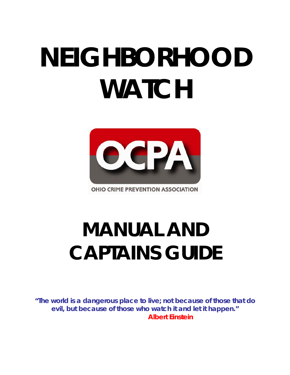# **NEIGHBORHOOD WATCH**



**OHIO CRIME PREVENTION ASSOCIATION** 

## **MANUAL AND CAPTAINS GUIDE**

**"The world is a dangerous place to live; not because of those that do evil, but because of those who watch it and let it happen." Albert Einstein**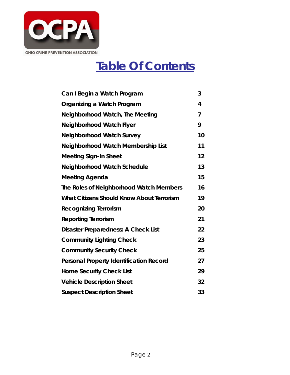

### **Table Of Contents**

| Can I Begin a Watch Program                    | 3              |
|------------------------------------------------|----------------|
| Organizing a Watch Program                     | 4              |
| <b>Neighborhood Watch, The Meeting</b>         | $\overline{7}$ |
| Neighborhood Watch Flyer                       | 9              |
| <b>Neighborhood Watch Survey</b>               | 10             |
| Neighborhood Watch Membership List             | 11             |
| <b>Meeting Sign-In Sheet</b>                   | 12             |
| <b>Neighborhood Watch Schedule</b>             | 13             |
| Meeting Agenda                                 | 15             |
| The Roles of Neighborhood Watch Members        | 16             |
| What Citizens Should Know About Terrorism      | 19             |
| <b>Recognizing Terrorism</b>                   | 20             |
| <b>Reporting Terrorism</b>                     | 21             |
| Disaster Preparedness: A Check List            | 22             |
| <b>Community Lighting Check</b>                | 23             |
| <b>Community Security Check</b>                | 25             |
| <b>Personal Property Identification Record</b> | 27             |
| <b>Home Security Check List</b>                | 29             |
| <b>Vehicle Description Sheet</b>               | 32             |
| <b>Suspect Description Sheet</b>               | 33             |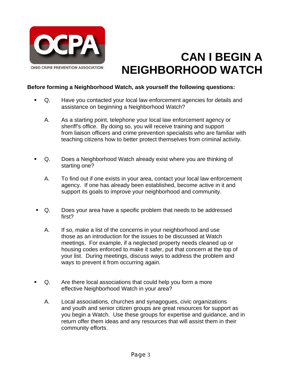

### **CAN I BEGIN A NEIGHBORHOOD WATCH**

#### **Before forming a Neighborhood Watch, ask yourself the following questions:**

- Q. Have you contacted your local law enforcement agencies for details and assistance on beginning a Neighborhood Watch?
	- A. As a starting point, telephone your local law enforcement agency or sheriff's office. By doing so, you will receive training and support from liaison officers and crime prevention specialists who are familiar with teaching citizens how to better protect themselves from criminal activity.
- Q. Does a Neighborhood Watch already exist where you are thinking of starting one?
	- A. To find out if one exists in your area, contact your local law enforcement agency. If one has already been established, become active in it and support its goals to improve your neighborhood and community.
- Q. Does your area have a specific problem that needs to be addressed first?
	- A. If so, make a list of the concerns in your neighborhood and use those as an introduction for the issues to be discussed at Watch meetings. For example, if a neglected property needs cleaned up or housing codes enforced to make it safer, put that concern at the top of your list. During meetings, discuss ways to address the problem and ways to prevent it from occurring again.
- Q. Are there local associations that could help you form a more effective Neighborhood Watch in your area?
	- A. Local associations, churches and synagogues, civic organizations and youth and senior citizen groups are great resources for support as you begin a Watch. Use these groups for expertise and guidance, and in return offer them ideas and any resources that will assist them in their community efforts.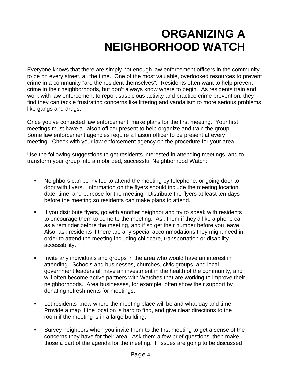### **ORGANIZING A NEIGHBORHOOD WATCH**

Everyone knows that there are simply not enough law enforcement officers in the community to be on every street, all the time. One of the most valuable, overlooked resources to prevent crime in a community "are the resident themselves". Residents often want to help prevent crime in their neighborhoods, but don't always know where to begin. As residents train and work with law enforcement to report suspicious activity and practice crime prevention, they find they can tackle frustrating concerns like littering and vandalism to more serious problems like gangs and drugs.

Once you've contacted law enforcement, make plans for the first meeting. Your first meetings must have a liaison officer present to help organize and train the group. Some law enforcement agencies require a liaison officer to be present at every meeting. Check with your law enforcement agency on the procedure for your area.

Use the following suggestions to get residents interested in attending meetings, and to transform your group into a mobilized, successful Neighborhood Watch:

- Neighbors can be invited to attend the meeting by telephone, or going door-todoor with flyers. Information on the flyers should include the meeting location, date, time, and purpose for the meeting. Distribute the flyers at least ten days before the meeting so residents can make plans to attend.
- If you distribute flyers, go with another neighbor and try to speak with residents to encourage them to come to the meeting. Ask them if they'd like a phone call as a reminder before the meeting, and if so get their number before you leave. Also, ask residents if there are any special accommodations they might need in order to attend the meeting including childcare, transportation or disability accessibility.
- Invite any individuals and groups in the area who would have an interest in attending. Schools and businesses, churches, civic groups, and local government leaders all have an investment in the health of the community, and will often become active partners with Watches that are working to improve their neighborhoods. Area businesses, for example, often show their support by donating refreshments for meetings.
- **EXECT** Let residents know where the meeting place will be and what day and time. Provide a map if the location is hard to find, and give clear directions to the room if the meeting is in a large building.
- Survey neighbors when you invite them to the first meeting to get a sense of the concerns they have for their area. Ask them a few brief questions, then make those a part of the agenda for the meeting. If issues are going to be discussed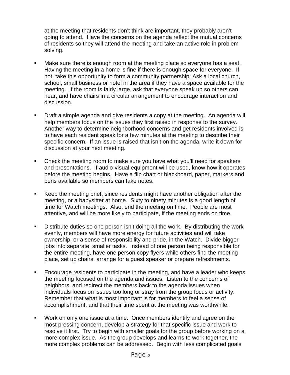at the meeting that residents don't think are important, they probably aren't going to attend. Have the concerns on the agenda reflect the mutual concerns of residents so they will attend the meeting and take an active role in problem solving.

- Make sure there is enough room at the meeting place so everyone has a seat. Having the meeting in a home is fine if there is enough space for everyone. If not, take this opportunity to form a community partnership: Ask a local church, school, small business or hotel in the area if they have a space available for the meeting. If the room is fairly large, ask that everyone speak up so others can hear, and have chairs in a circular arrangement to encourage interaction and discussion.
- Draft a simple agenda and give residents a copy at the meeting. An agenda will help members focus on the issues they first raised in response to the survey. Another way to determine neighborhood concerns and get residents involved is to have each resident speak for a few minutes at the meeting to describe their specific concern. If an issue is raised that isn't on the agenda, write it down for discussion at your next meeting.
- Check the meeting room to make sure you have what you'll need for speakers and presentations. If audio-visual equipment will be used, know how it operates before the meeting begins. Have a flip chart or blackboard, paper, markers and pens available so members can take notes.
- Keep the meeting brief, since residents might have another obligation after the meeting, or a babysitter at home. Sixty to ninety minutes is a good length of time for Watch meetings. Also, end the meeting on time. People are most attentive, and will be more likely to participate, if the meeting ends on time.
- Distribute duties so one person isn't doing all the work. By distributing the work evenly, members will have more energy for future activities and will take ownership, or a sense of responsibility and pride, in the Watch. Divide bigger jobs into separate, smaller tasks. Instead of one person being responsible for the entire meeting, have one person copy flyers while others find the meeting place, set up chairs, arrange for a guest speaker or prepare refreshments.
- Encourage residents to participate in the meeting, and have a leader who keeps the meeting focused on the agenda and issues. Listen to the concerns of neighbors, and redirect the members back to the agenda issues when individuals focus on issues too long or stray from the group focus or activity. Remember that what is most important is for members to feel a sense of accomplishment, and that their time spent at the meeting was worthwhile.
- Work on only one issue at a time. Once members identify and agree on the most pressing concern, develop a strategy for that specific issue and work to resolve it first. Try to begin with smaller goals for the group before working on a more complex issue. As the group develops and learns to work together, the more complex problems can be addressed. Begin with less complicated goals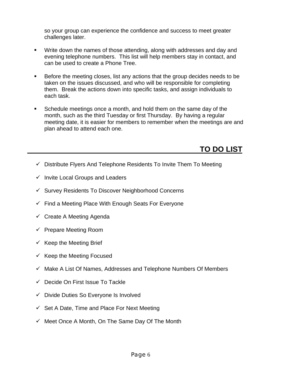so your group can experience the confidence and success to meet greater challenges later.

- Write down the names of those attending, along with addresses and day and evening telephone numbers. This list will help members stay in contact, and can be used to create a Phone Tree.
- Before the meeting closes, list any actions that the group decides needs to be taken on the issues discussed, and who will be responsible for completing them. Break the actions down into specific tasks, and assign individuals to each task.
- Schedule meetings once a month, and hold them on the same day of the month, such as the third Tuesday or first Thursday. By having a regular meeting date, it is easier for members to remember when the meetings are and plan ahead to attend each one.

### **TO DO LIST**

- $\checkmark$  Distribute Flyers And Telephone Residents To Invite Them To Meeting
- $\checkmark$  Invite Local Groups and Leaders
- $\checkmark$  Survey Residents To Discover Neighborhood Concerns
- $\checkmark$  Find a Meeting Place With Enough Seats For Everyone
- $\checkmark$  Create A Meeting Agenda
- $\checkmark$  Prepare Meeting Room
- $\checkmark$  Keep the Meeting Brief
- $\checkmark$  Keep the Meeting Focused
- $\checkmark$  Make A List Of Names, Addresses and Telephone Numbers Of Members
- $\checkmark$  Decide On First Issue To Tackle
- $\checkmark$  Divide Duties So Everyone Is Involved
- $\checkmark$  Set A Date, Time and Place For Next Meeting
- $\checkmark$  Meet Once A Month, On The Same Day Of The Month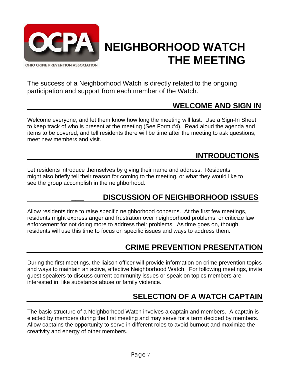

### **NEIGHBORHOOD WATCH THE MEETING**

The success of a Neighborhood Watch is directly related to the ongoing participation and support from each member of the Watch.

### **WELCOME AND SIGN IN**

Welcome everyone, and let them know how long the meeting will last. Use a Sign-In Sheet to keep track of who is present at the meeting (See Form #4). Read aloud the agenda and items to be covered, and tell residents there will be time after the meeting to ask questions, meet new members and visit.

### **\_\_\_\_\_\_\_\_\_\_\_\_\_\_\_\_\_\_\_\_\_\_\_\_\_\_\_\_\_\_\_\_\_\_\_\_\_\_\_\_INTRODUCTIONS**

Let residents introduce themselves by giving their name and address. Residents might also briefly tell their reason for coming to the meeting, or what they would like to see the group accomplish in the neighborhood.

### **\_\_\_ DISCUSSION OF NEIGHBORHOOD ISSUES**

Allow residents time to raise specific neighborhood concerns. At the first few meetings, residents might express anger and frustration over neighborhood problems, or criticize law enforcement for not doing more to address their problems. As time goes on, though, residents will use this time to focus on specific issues and ways to address them.

### **CRIME PREVENTION PRESENTATION**

During the first meetings, the liaison officer will provide information on crime prevention topics and ways to maintain an active, effective Neighborhood Watch. For following meetings, invite guest speakers to discuss current community issues or speak on topics members are interested in, like substance abuse or family violence.

### **SELECTION OF A WATCH CAPTAIN**

The basic structure of a Neighborhood Watch involves a captain and members. A captain is elected by members during the first meeting and may serve for a term decided by members. Allow captains the opportunity to serve in different roles to avoid burnout and maximize the creativity and energy of other members.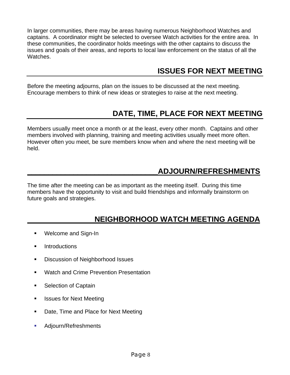In larger communities, there may be areas having numerous Neighborhood Watches and captains. A coordinator might be selected to oversee Watch activities for the entire area. In these communities, the coordinator holds meetings with the other captains to discuss the issues and goals of their areas, and reports to local law enforcement on the status of all the Watches.

### **ISSUES FOR NEXT MEETING**

Before the meeting adjourns, plan on the issues to be discussed at the next meeting. Encourage members to think of new ideas or strategies to raise at the next meeting.

### **DATE, TIME, PLACE FOR NEXT MEETING**

Members usually meet once a month or at the least, every other month. Captains and other members involved with planning, training and meeting activities usually meet more often. However often you meet, be sure members know when and where the next meeting will be held.

### **\_\_\_\_\_\_\_\_\_\_\_\_\_\_\_\_\_\_\_\_\_\_\_\_\_\_\_\_\_\_\_ADJOURN/REFRESHMENTS**

The time after the meeting can be as important as the meeting itself. During this time members have the opportunity to visit and build friendships and informally brainstorm on future goals and strategies.

### **NEIGHBORHOOD WATCH MEETING AGENDA**

- **Welcome and Sign-In**
- **Introductions**
- **Discussion of Neighborhood Issues**
- Watch and Crime Prevention Presentation
- Selection of Captain
- **EXEC** Issues for Next Meeting
- Date, Time and Place for Next Meeting
- **Adjourn/Refreshments**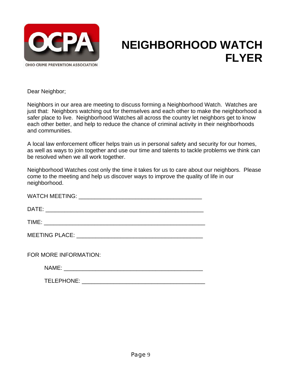

### **NEIGHBORHOOD WATCH FLYER**

Dear Neighbor;

Neighbors in our area are meeting to discuss forming a Neighborhood Watch. Watches are just that: Neighbors watching out for themselves and each other to make the neighborhood a safer place to live. Neighborhood Watches all across the country let neighbors get to know each other better, and help to reduce the chance of criminal activity in their neighborhoods and communities.

A local law enforcement officer helps train us in personal safety and security for our homes, as well as ways to join together and use our time and talents to tackle problems we think can be resolved when we all work together.

Neighborhood Watches cost only the time it takes for us to care about our neighbors. Please come to the meeting and help us discover ways to improve the quality of life in our neighborhood.

| FOR MORE INFORMATION: |
|-----------------------|
|                       |
|                       |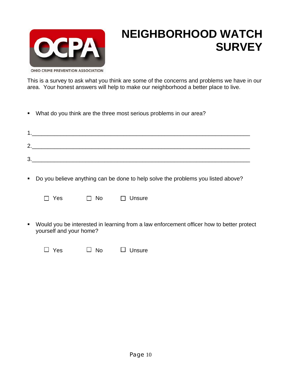

### **NEIGHBORHOOD WATCH SURVEY**

OHIO CRIME PREVENTION ASSOCIATION

This is a survey to ask what you think are some of the concerns and problems we have in our area. Your honest answers will help to make our neighborhood a better place to live.

What do you think are the three most serious problems in our area?

| ົ<br><u>.</u> |  |  |
|---------------|--|--|
| າ<br>ີ        |  |  |

Do you believe anything can be done to help solve the problems you listed above?

 $\Box$  Yes  $\Box$  No

|  | Unsure |
|--|--------|
|  |        |

 Would you be interested in learning from a law enforcement officer how to better protect yourself and your home?

 $\Box$  Yes  $\Box$  No  $\Box$  Unsure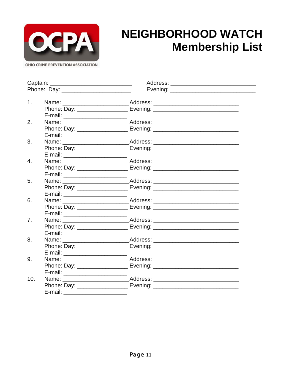

### **NEIGHBORHOOD WATCH Membership List**

 $\overline{\phantom{0}}$ 

|     |                                    | Address: ______________________________                                          |
|-----|------------------------------------|----------------------------------------------------------------------------------|
|     |                                    |                                                                                  |
|     |                                    |                                                                                  |
| 1.  |                                    | Name: _________________________________Address: ________________________________ |
|     |                                    |                                                                                  |
|     | E-mail: ________________________   |                                                                                  |
| 2.  |                                    | Name: _________________________________Address: ________________________________ |
|     |                                    | Phone: Day: _______________________ Evening: ___________________________________ |
|     | E-mail: _________________________  |                                                                                  |
| 3.  |                                    | Name: _________________________________Address: ________________________________ |
|     |                                    | Phone: Day: _______________________ Evening: ___________________________________ |
|     |                                    |                                                                                  |
| 4.  |                                    |                                                                                  |
|     |                                    |                                                                                  |
|     | E-mail: ________________________   |                                                                                  |
| 5.  |                                    | Name: _________________________________Address: ________________________________ |
|     |                                    |                                                                                  |
|     | E-mail: _________________________  |                                                                                  |
| 6.  |                                    | Name: _________________________________Address: ________________________________ |
|     |                                    | Phone: Day: _______________________ Evening: ___________________________________ |
|     | E-mail: ________________________   |                                                                                  |
| 7.  |                                    |                                                                                  |
|     |                                    |                                                                                  |
|     |                                    |                                                                                  |
| 8.  |                                    | Name: _________________________________Address: ________________________________ |
|     |                                    |                                                                                  |
|     | E-mail: __________________________ |                                                                                  |
| 9.  |                                    | Name: ________________________________Address: _________________________________ |
|     |                                    |                                                                                  |
|     | E-mail: _______________________    |                                                                                  |
| 10. |                                    | Name: ________________________________Address: _________________________________ |
|     |                                    |                                                                                  |
|     | E-mail:                            |                                                                                  |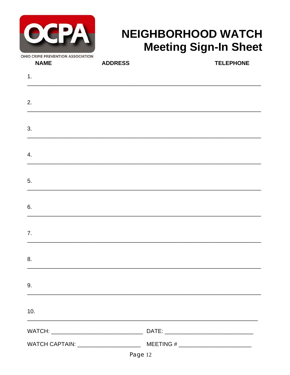| OHIO CRIME PREVENTION ASSOCIATION |
|-----------------------------------|

### **NEIGHBORHOOD WATCH Meeting Sign-In Sheet**

| <b>NAME</b> | <b>ADDRESS</b> | <b>TELEPHONE</b>                                            |
|-------------|----------------|-------------------------------------------------------------|
| 1.          |                |                                                             |
|             |                |                                                             |
| 2.          |                |                                                             |
| 3.          |                |                                                             |
| 4.          |                |                                                             |
| 5.          |                |                                                             |
| 6.          |                |                                                             |
| 7.          |                |                                                             |
| 8.          |                |                                                             |
| 9.          |                |                                                             |
| 10.         |                | <u> 1989 - Johann Stoff, amerikansk politiker (d. 1989)</u> |
|             |                |                                                             |
|             |                |                                                             |
|             | Page 12        |                                                             |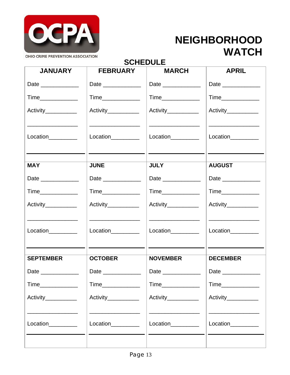

## **WATCH**

### **SCHEDULE**

| <b>JANUARY</b>       | <b>FEBRUARY</b>                                                  | <b>MARCH</b>                                                                                                                                                                                                                                                                                                                                          | <b>APRIL</b>                                                                                                                               |
|----------------------|------------------------------------------------------------------|-------------------------------------------------------------------------------------------------------------------------------------------------------------------------------------------------------------------------------------------------------------------------------------------------------------------------------------------------------|--------------------------------------------------------------------------------------------------------------------------------------------|
| Date ______________  | Date _____________                                               | Date _____________                                                                                                                                                                                                                                                                                                                                    | Date ____________                                                                                                                          |
| Time______________   |                                                                  |                                                                                                                                                                                                                                                                                                                                                       | Time_____________                                                                                                                          |
| Activity___________  | Activity___________                                              | Activity___________                                                                                                                                                                                                                                                                                                                                   | Activity____________                                                                                                                       |
| Location             | Location_________                                                | <u> 1980 - John Harry Harry Harry Harry Harry Harry Harry Harry Harry Harry Harry Harry Harry Harry Harry Harry Harry Harry Harry Harry Harry Harry Harry Harry Harry Harry Harry Harry Harry Harry Harry Harry Harry Harry Harr</u><br>Location<br><u>Location</u><br>and the control of the control of the control of the control of the control of | Location_________<br><u> Alexandria de la contrada de la contrada de la contrada de la contrada de la contrada de la contrada de la c</u>  |
| <b>MAY</b>           | <b>JUNE</b>                                                      | <b>JULY</b>                                                                                                                                                                                                                                                                                                                                           | <b>AUGUST</b>                                                                                                                              |
| Date _____________   | Date _____________                                               | Date ______________                                                                                                                                                                                                                                                                                                                                   | Date _____________                                                                                                                         |
| Time______________   | Time______________                                               | Time                                                                                                                                                                                                                                                                                                                                                  | Time                                                                                                                                       |
| Activity___________  | Activity___________                                              | Activity___________                                                                                                                                                                                                                                                                                                                                   | Activity___________                                                                                                                        |
| $Location$ _________ | <u> 1989 - Johann Stoff, Amerikaansk politiker (</u><br>Location | <u> 1989 - Johann Stoff, fransk politik (d. 1989)</u><br>Location                                                                                                                                                                                                                                                                                     | <u> 1980 - John Harry Harry Harry Harry Harry Harry Harry Harry Harry Harry Harry Harry Harry Harry Harry Harry H</u><br>Location_________ |
| <b>SEPTEMBER</b>     | <b>OCTOBER</b>                                                   | <b>NOVEMBER</b>                                                                                                                                                                                                                                                                                                                                       | <b>DECEMBER</b>                                                                                                                            |
| Date ______________  | Date ______________                                              | Date _____________                                                                                                                                                                                                                                                                                                                                    | Date ______________                                                                                                                        |
|                      | Time_______________                                              | Time_____________                                                                                                                                                                                                                                                                                                                                     | Time_____________                                                                                                                          |
| Activity___________  | Activity___________                                              | Activity___________                                                                                                                                                                                                                                                                                                                                   | Activity___________                                                                                                                        |
| Location__________   | Location_________                                                | Location_________                                                                                                                                                                                                                                                                                                                                     | Location_________                                                                                                                          |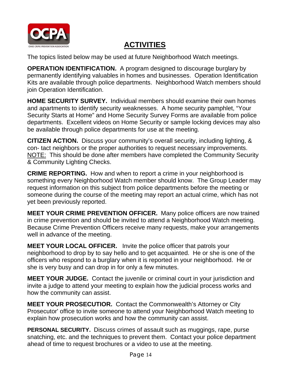

### **ACTIVITIES**

The topics listed below may be used at future Neighborhood Watch meetings.

**OPERATION IDENTIFICATION.** A program designed to discourage burglary by permanently identifying valuables in homes and businesses. Operation Identification Kits are available through police departments. Neighborhood Watch members should join Operation Identification.

**HOME SECURITY SURVEY.** Individual members should examine their own homes and apartments to identify security weaknesses. A home security pamphlet, "Your Security Starts at Home" and Home Security Survey Forms are available from police departments. Excellent videos on Home Security or sample locking devices may also be available through police departments for use at the meeting.

**CITIZEN ACTION.** Discuss your community's overall security, including lighting, & con- tact neighbors or the proper authorities to request necessary improvements. NOTE: This should be done after members have completed the Community Security & Community Lighting Checks.

**CRIME REPORTING.** How and when to report a crime in your neighborhood is something every Neighborhood Watch member should know. The Group Leader may request information on this subject from police departments before the meeting or someone during the course of the meeting may report an actual crime, which has not yet been previously reported.

**MEET YOUR CRIME PREVENTION OFFICER.** Many police officers are now trained in crime prevention and should be invited to attend a Neighborhood Watch meeting. Because Crime Prevention Officers receive many requests, make your arrangements well in advance of the meeting.

**MEET YOUR LOCAL OFFICER.** Invite the police officer that patrols your neighborhood to drop by to say hello and to get acquainted. He or she is one of the officers who respond to a burglary when it is reported in your neighborhood. He or she is very busy and can drop in for only a few minutes.

**MEET YOUR JUDGE.** Contact the juvenile or criminal court in your jurisdiction and invite a judge to attend your meeting to explain how the judicial process works and how the community can assist.

**MEET YOUR PROSECUTIOR.** Contact the Commonwealth's Attorney or City Prosecutor' office to invite someone to attend your Neighborhood Watch meeting to explain how prosecution works and how the community can assist.

**PERSONAL SECURITY.** Discuss crimes of assault such as muggings, rape, purse snatching, etc. and the techniques to prevent them. Contact your police department ahead of time to request brochures or a video to use at the meeting.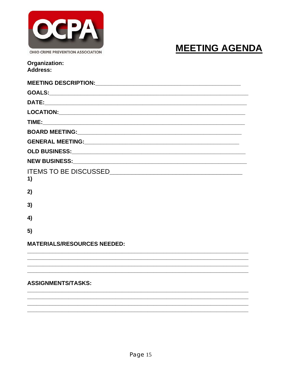

#### OHIO CRIME PREVENTION ASSOCIATION

### **MEETING AGENDA**

| Organization:   |  |
|-----------------|--|
| <b>Address:</b> |  |

| 1)                                 |
|------------------------------------|
| 2)                                 |
| 3)                                 |
| 4)                                 |
| 5)                                 |
| <b>MATERIALS/RESOURCES NEEDED:</b> |
|                                    |
|                                    |

#### **ASSIGNMENTS/TASKS:**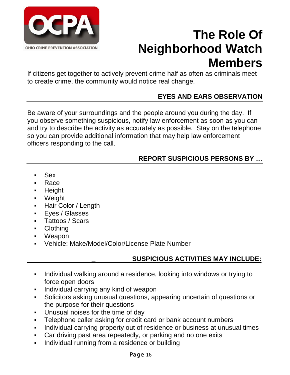

### **The Role Of Neighborhood Watch Members**

If citizens get together to actively prevent crime half as often as criminals meet to create crime, the community would notice real change.

### **EYES AND EARS OBSERVATION**

Be aware of your surroundings and the people around you during the day. If you observe something suspicious, notify law enforcement as soon as you can and try to describe the activity as accurately as possible. Stay on the telephone so you can provide additional information that may help law enforcement officers responding to the call.

### **REPORT SUSPICIOUS PERSONS BY …**

- Sex
- Race
- Height
- Weight
- Hair Color / Length
- Eyes / Glasses
- Tattoos / Scars
- Clothing
- Weapon
- Vehicle: Make/Model/Color/License Plate Number

### **\_ SUSPICIOUS ACTIVITIES MAY INCLUDE:**

- Individual walking around a residence, looking into windows or trying to force open doors
- **Individual carrying any kind of weapon**
- Solicitors asking unusual questions, appearing uncertain of questions or the purpose for their questions
- **Unusual noises for the time of day**
- Telephone caller asking for credit card or bank account numbers
- Individual carrying property out of residence or business at unusual times
- Car driving past area repeatedly, or parking and no one exits
- **Individual running from a residence or building**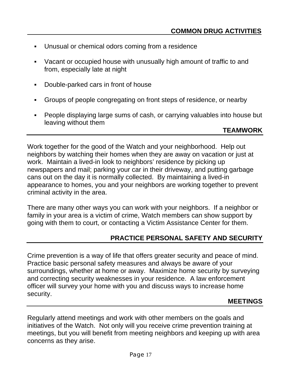- Unusual or chemical odors coming from a residence
- Vacant or occupied house with unusually high amount of traffic to and from, especially late at night
- Double-parked cars in front of house
- Groups of people congregating on front steps of residence, or nearby
- People displaying large sums of cash, or carrying valuables into house but leaving without them

#### **TEAMWORK**

Work together for the good of the Watch and your neighborhood. Help out neighbors by watching their homes when they are away on vacation or just at work. Maintain a lived-in look to neighbors' residence by picking up newspapers and mail; parking your car in their driveway, and putting garbage cans out on the day it is normally collected. By maintaining a lived-in appearance to homes, you and your neighbors are working together to prevent criminal activity in the area.

There are many other ways you can work with your neighbors. If a neighbor or family in your area is a victim of crime, Watch members can show support by going with them to court, or contacting a Victim Assistance Center for them.

#### **PRACTICE PERSONAL SAFETY AND SECURITY**

Crime prevention is a way of life that offers greater security and peace of mind. Practice basic personal safety measures and always be aware of your surroundings, whether at home or away. Maximize home security by surveying and correcting security weaknesses in your residence. A law enforcement officer will survey your home with you and discuss ways to increase home security.

#### **MEETINGS**

Regularly attend meetings and work with other members on the goals and initiatives of the Watch. Not only will you receive crime prevention training at meetings, but you will benefit from meeting neighbors and keeping up with area concerns as they arise.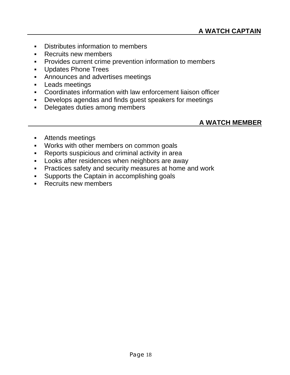- **-** Distributes information to members
- **Recruits new members**
- **Provides current crime prevention information to members**
- **Updates Phone Trees**
- **Announces and advertises meetings**
- **Leads meetings**
- Coordinates information with law enforcement liaison officer
- Develops agendas and finds guest speakers for meetings
- Delegates duties among members

#### **A WATCH MEMBER**

- Attends meetings
- Works with other members on common goals
- Reports suspicious and criminal activity in area
- **-** Looks after residences when neighbors are away
- **Practices safety and security measures at home and work**
- **Supports the Captain in accomplishing goals**
- **Recruits new members**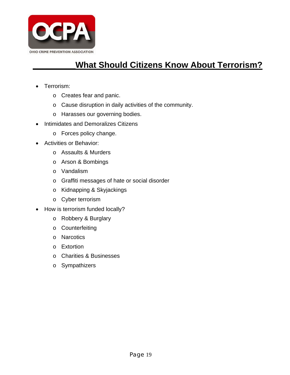

### **What Should Citizens Know About Terrorism?**

- Terrorism:
	- o Creates fear and panic.
	- o Cause disruption in daily activities of the community.
	- o Harasses our governing bodies.
- Intimidates and Demoralizes Citizens
	- o Forces policy change.
- Activities or Behavior:
	- o Assaults & Murders
	- o Arson & Bombings
	- o Vandalism
	- o Graffiti messages of hate or social disorder
	- o Kidnapping & Skyjackings
	- o Cyber terrorism
- How is terrorism funded locally?
	- o Robbery & Burglary
	- o Counterfeiting
	- o Narcotics
	- o Extortion
	- o Charities & Businesses
	- o Sympathizers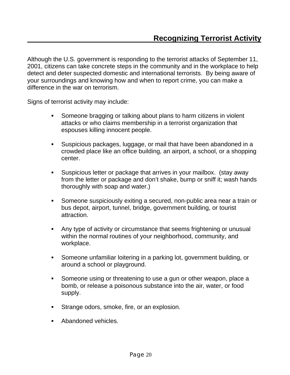Although the U.S. government is responding to the terrorist attacks of September 11, 2001, citizens can take concrete steps in the community and in the workplace to help detect and deter suspected domestic and international terrorists. By being aware of your surroundings and knowing how and when to report crime, you can make a difference in the war on terrorism.

Signs of terrorist activity may include:

- Someone bragging or talking about plans to harm citizens in violent attacks or who claims membership in a terrorist organization that espouses killing innocent people.
- Suspicious packages, luggage, or mail that have been abandoned in a crowded place like an office building, an airport, a school, or a shopping center.
- Suspicious letter or package that arrives in your mailbox. (stay away from the letter or package and don't shake, bump or sniff it; wash hands thoroughly with soap and water.)
- Someone suspiciously exiting a secured, non-public area near a train or bus depot, airport, tunnel, bridge, government building, or tourist attraction.
- Any type of activity or circumstance that seems frightening or unusual within the normal routines of your neighborhood, community, and workplace.
- Someone unfamiliar loitering in a parking lot, government building, or around a school or playground.
- Someone using or threatening to use a gun or other weapon, place a bomb, or release a poisonous substance into the air, water, or food supply.
- **Strange odors, smoke, fire, or an explosion.**
- Abandoned vehicles.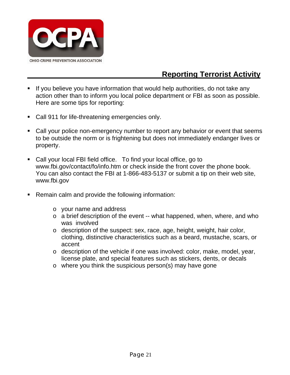

### **Reporting Terrorist Activity**

- **If you believe you have information that would help authorities, do not take any** action other than to inform you local police department or FBI as soon as possible. Here are some tips for reporting:
- **Call 911 for life-threatening emergencies only.**
- Call your police non-emergency number to report any behavior or event that seems to be outside the norm or is frightening but does not immediately endanger lives or property.
- Call your local FBI field office. To find your local office, go to www.fbi.gov/contact/fo/info.htm or check inside the front cover the phone book. You can also contact the FBI at 1-866-483-5137 or submit a tip on their web site, www.fbi.gov
- **Remain calm and provide the following information:** 
	- o your name and address
	- o a brief description of the event -- what happened, when, where, and who was involved
	- o description of the suspect: sex, race, age, height, weight, hair color, clothing, distinctive characteristics such as a beard, mustache, scars, or accent
	- o description of the vehicle if one was involved: color, make, model, year, license plate, and special features such as stickers, dents, or decals
	- o where you think the suspicious person(s) may have gone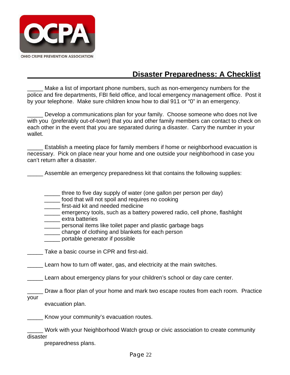

### **Disaster Preparedness: A Checklist**

Make a list of important phone numbers, such as non-emergency numbers for the police and fire departments, FBI field office, and local emergency management office. Post it by your telephone. Make sure children know how to dial 911 or "0" in an emergency.

Develop a communications plan for your family. Choose someone who does not live with you (preferably out-of-town) that you and other family members can contact to check on each other in the event that you are separated during a disaster. Carry the number in your wallet.

Establish a meeting place for family members if home or neighborhood evacuation is necessary. Pick on place near your home and one outside your neighborhood in case you can't return after a disaster.

Assemble an emergency preparedness kit that contains the following supplies:

- \_\_\_\_\_ three to five day supply of water (one gallon per person per day)
- \_\_\_\_\_ food that will not spoil and requires no cooking
- \_\_\_\_\_ first-aid kit and needed medicine
- \_\_\_\_\_ emergency tools, such as a battery powered radio, cell phone, flashlight
- extra batteries
- \_\_\_\_\_ personal items like toilet paper and plastic garbage bags
- change of clothing and blankets for each person
- \_\_\_\_\_ portable generator if possible

Take a basic course in CPR and first-aid.

Learn how to turn off water, gas, and electricity at the main switches.

\_\_\_\_\_ Learn about emergency plans for your children's school or day care center.

\_\_\_\_\_ Draw a floor plan of your home and mark two escape routes from each room. Practice

your

evacuation plan.

**EXECT** Know your community's evacuation routes.

\_\_\_\_\_ Work with your Neighborhood Watch group or civic association to create community disaster

preparedness plans.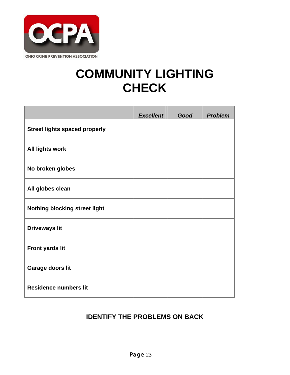

### **COMMUNITY LIGHTING CHECK**

|                                      | <b>Excellent</b> | Good | <b>Problem</b> |
|--------------------------------------|------------------|------|----------------|
| <b>Street lights spaced properly</b> |                  |      |                |
| <b>All lights work</b>               |                  |      |                |
| No broken globes                     |                  |      |                |
| All globes clean                     |                  |      |                |
| <b>Nothing blocking street light</b> |                  |      |                |
| <b>Driveways lit</b>                 |                  |      |                |
| Front yards lit                      |                  |      |                |
| Garage doors lit                     |                  |      |                |
| <b>Residence numbers lit</b>         |                  |      |                |

### **IDENTIFY THE PROBLEMS ON BACK**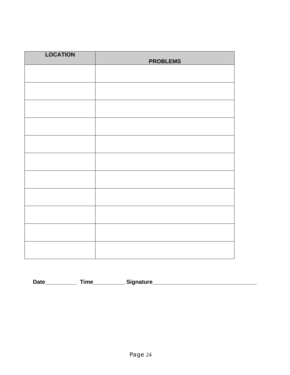| <b>LOCATION</b> | <b>PROBLEMS</b> |
|-----------------|-----------------|
|                 |                 |
|                 |                 |
|                 |                 |
|                 |                 |
|                 |                 |
|                 |                 |
|                 |                 |
|                 |                 |
|                 |                 |
|                 |                 |
|                 |                 |

**Date\_\_\_\_\_\_\_\_\_\_ Time\_\_\_\_\_\_\_\_\_\_ Signature\_\_\_\_\_\_\_\_\_\_\_\_\_\_\_\_\_\_\_\_\_\_\_\_\_\_\_\_\_\_\_\_\_**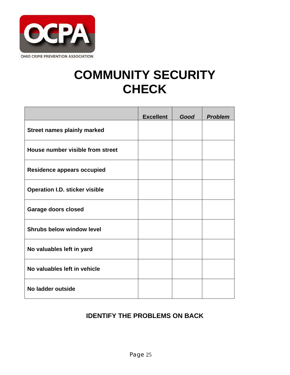

### **COMMUNITY SECURITY CHECK**

|                                       | <b>Excellent</b> | Good | <b>Problem</b> |
|---------------------------------------|------------------|------|----------------|
| <b>Street names plainly marked</b>    |                  |      |                |
| House number visible from street      |                  |      |                |
| <b>Residence appears occupied</b>     |                  |      |                |
| <b>Operation I.D. sticker visible</b> |                  |      |                |
| <b>Garage doors closed</b>            |                  |      |                |
| <b>Shrubs below window level</b>      |                  |      |                |
| No valuables left in yard             |                  |      |                |
| No valuables left in vehicle          |                  |      |                |
| No ladder outside                     |                  |      |                |

#### **IDENTIFY THE PROBLEMS ON BACK**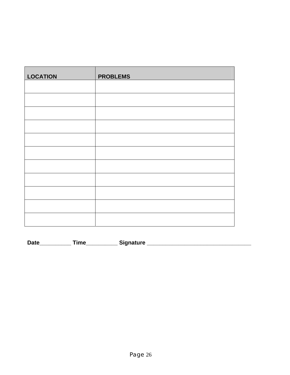| <b>LOCATION</b> | <b>PROBLEMS</b> |
|-----------------|-----------------|
|                 |                 |
|                 |                 |
|                 |                 |
|                 |                 |
|                 |                 |
|                 |                 |
|                 |                 |
|                 |                 |
|                 |                 |
|                 |                 |
|                 |                 |

| <b>Date</b> | ïme | Sianature |
|-------------|-----|-----------|
|             |     |           |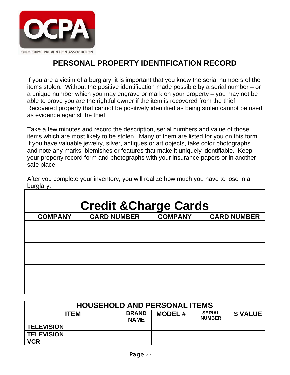

### **PERSONAL PROPERTY IDENTIFICATION RECORD**

If you are a victim of a burglary, it is important that you know the serial numbers of the items stolen. Without the positive identification made possible by a serial number – or a unique number which you may engrave or mark on your property – you may not be able to prove you are the rightful owner if the item is recovered from the thief. Recovered property that cannot be positively identified as being stolen cannot be used as evidence against the thief.

Take a few minutes and record the description, serial numbers and value of those items which are most likely to be stolen. Many of them are listed for you on this form. If you have valuable jewelry, silver, antiques or art objects, take color photographs and note any marks, blemishes or features that make it uniquely identifiable. Keep your property record form and photographs with your insurance papers or in another safe place.

| <b>Credit &amp; Charge Cards</b> |                    |                |                    |  |  |  |  |
|----------------------------------|--------------------|----------------|--------------------|--|--|--|--|
| <b>COMPANY</b>                   | <b>CARD NUMBER</b> | <b>COMPANY</b> | <b>CARD NUMBER</b> |  |  |  |  |
|                                  |                    |                |                    |  |  |  |  |
|                                  |                    |                |                    |  |  |  |  |
|                                  |                    |                |                    |  |  |  |  |
|                                  |                    |                |                    |  |  |  |  |
|                                  |                    |                |                    |  |  |  |  |
|                                  |                    |                |                    |  |  |  |  |
|                                  |                    |                |                    |  |  |  |  |
|                                  |                    |                |                    |  |  |  |  |
|                                  |                    |                |                    |  |  |  |  |
|                                  |                    |                |                    |  |  |  |  |

After you complete your inventory, you will realize how much you have to lose in a burglary.

| <b>HOUSEHOLD AND PERSONAL ITEMS</b> |                             |               |                                |                |  |
|-------------------------------------|-----------------------------|---------------|--------------------------------|----------------|--|
| <b>ITEM</b>                         | <b>BRAND</b><br><b>NAME</b> | <b>MODEL#</b> | <b>SERIAL</b><br><b>NUMBER</b> | <b>S VALUE</b> |  |
| <b>TELEVISION</b>                   |                             |               |                                |                |  |
| <b>TELEVISION</b>                   |                             |               |                                |                |  |
| <b>VCR</b>                          |                             |               |                                |                |  |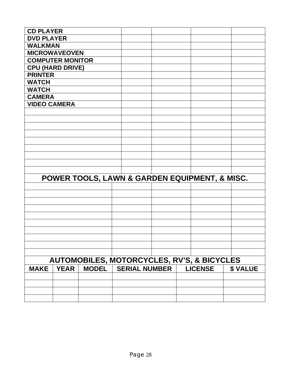| <b>CD PLAYER</b>        |             |                                                       |                      |  |                |                |
|-------------------------|-------------|-------------------------------------------------------|----------------------|--|----------------|----------------|
| <b>DVD PLAYER</b>       |             |                                                       |                      |  |                |                |
| <b>WALKMAN</b>          |             |                                                       |                      |  |                |                |
| <b>MICROWAVEOVEN</b>    |             |                                                       |                      |  |                |                |
| <b>COMPUTER MONITOR</b> |             |                                                       |                      |  |                |                |
| <b>CPU (HARD DRIVE)</b> |             |                                                       |                      |  |                |                |
| <b>PRINTER</b>          |             |                                                       |                      |  |                |                |
| <b>WATCH</b>            |             |                                                       |                      |  |                |                |
| <b>WATCH</b>            |             |                                                       |                      |  |                |                |
| <b>CAMERA</b>           |             |                                                       |                      |  |                |                |
| <b>VIDEO CAMERA</b>     |             |                                                       |                      |  |                |                |
|                         |             |                                                       |                      |  |                |                |
|                         |             |                                                       |                      |  |                |                |
|                         |             |                                                       |                      |  |                |                |
|                         |             |                                                       |                      |  |                |                |
|                         |             |                                                       |                      |  |                |                |
|                         |             |                                                       |                      |  |                |                |
|                         |             |                                                       |                      |  |                |                |
|                         |             |                                                       |                      |  |                |                |
|                         |             |                                                       |                      |  |                |                |
|                         |             | POWER TOOLS, LAWN & GARDEN EQUIPMENT, & MISC.         |                      |  |                |                |
|                         |             |                                                       |                      |  |                |                |
|                         |             |                                                       |                      |  |                |                |
|                         |             |                                                       |                      |  |                |                |
|                         |             |                                                       |                      |  |                |                |
|                         |             |                                                       |                      |  |                |                |
|                         |             |                                                       |                      |  |                |                |
|                         |             |                                                       |                      |  |                |                |
|                         |             |                                                       |                      |  |                |                |
|                         |             |                                                       |                      |  |                |                |
|                         |             |                                                       |                      |  |                |                |
|                         |             | <b>AUTOMOBILES, MOTORCYCLES, RV'S, &amp; BICYCLES</b> |                      |  |                |                |
| <b>MAKE</b>             | <b>YEAR</b> | <b>MODEL</b>                                          | <b>SERIAL NUMBER</b> |  | <b>LICENSE</b> | <b>\$VALUE</b> |
|                         |             |                                                       |                      |  |                |                |
|                         |             |                                                       |                      |  |                |                |
|                         |             |                                                       |                      |  |                |                |
|                         |             |                                                       |                      |  |                |                |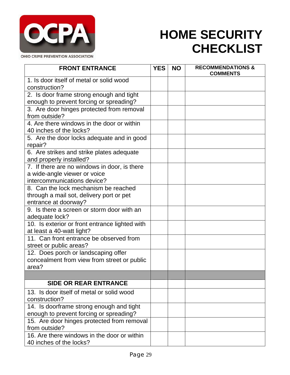

### **HOME SECURITY CHECKLIST**

| <b>FRONT ENTRANCE</b>                                | <b>YES</b> | <b>NO</b> | <b>RECOMMENDATIONS &amp;</b><br><b>COMMENTS</b> |
|------------------------------------------------------|------------|-----------|-------------------------------------------------|
| 1. Is door itself of metal or solid wood             |            |           |                                                 |
| construction?                                        |            |           |                                                 |
| 2. Is door frame strong enough and tight             |            |           |                                                 |
| enough to prevent forcing or spreading?              |            |           |                                                 |
| 3. Are door hinges protected from removal            |            |           |                                                 |
| from outside?                                        |            |           |                                                 |
| 4. Are there windows in the door or within           |            |           |                                                 |
| 40 inches of the locks?                              |            |           |                                                 |
| 5. Are the door locks adequate and in good           |            |           |                                                 |
| repair?                                              |            |           |                                                 |
| 6. Are strikes and strike plates adequate            |            |           |                                                 |
| and properly installed?                              |            |           |                                                 |
| 7. If there are no windows in door, is there         |            |           |                                                 |
| a wide-angle viewer or voice                         |            |           |                                                 |
| intercommunications device?                          |            |           |                                                 |
| 8. Can the lock mechanism be reached                 |            |           |                                                 |
| through a mail sot, delivery port or pet             |            |           |                                                 |
| entrance at doorway?                                 |            |           |                                                 |
| 9. Is there a screen or storm door with an           |            |           |                                                 |
| adequate lock?                                       |            |           |                                                 |
| 10. Is exterior or front entrance lighted with       |            |           |                                                 |
| at least a 40-watt light?                            |            |           |                                                 |
| 11. Can front entrance be observed from              |            |           |                                                 |
| street or public areas?                              |            |           |                                                 |
| 12. Does porch or landscaping offer                  |            |           |                                                 |
| concealment from view from street or public<br>area? |            |           |                                                 |
|                                                      |            |           |                                                 |
| <b>SIDE OR REAR ENTRANCE</b>                         |            |           |                                                 |
|                                                      |            |           |                                                 |
| 13. Is door itself of metal or solid wood            |            |           |                                                 |
| construction?                                        |            |           |                                                 |
| 14. Is doorframe strong enough and tight             |            |           |                                                 |
| enough to prevent forcing or spreading?              |            |           |                                                 |
| 15. Are door hinges protected from removal           |            |           |                                                 |
| from outside?                                        |            |           |                                                 |
| 16. Are there windows in the door or within          |            |           |                                                 |
| 40 inches of the locks?                              |            |           |                                                 |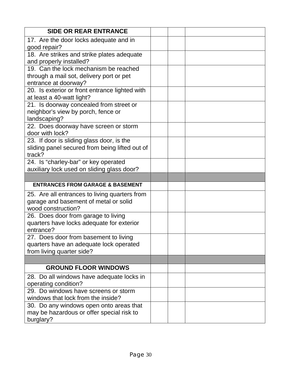| <b>SIDE OR REAR ENTRANCE</b>                                                                                  |  |
|---------------------------------------------------------------------------------------------------------------|--|
| 17. Are the door locks adequate and in<br>good repair?                                                        |  |
| 18. Are strikes and strike plates adequate<br>and properly installed?                                         |  |
| 19. Can the lock mechanism be reached                                                                         |  |
| through a mail sot, delivery port or pet<br>entrance at doorway?                                              |  |
| 20. Is exterior or front entrance lighted with<br>at least a 40-watt light?                                   |  |
| 21. Is doorway concealed from street or<br>neighbor's view by porch, fence or<br>landscaping?                 |  |
| 22. Does doorway have screen or storm<br>door with lock?                                                      |  |
| 23. If door is sliding glass door, is the<br>sliding panel secured from being lifted out of<br>track?         |  |
| 24. Is "charley-bar" or key operated<br>auxiliary lock used on sliding glass door?                            |  |
|                                                                                                               |  |
| <b>ENTRANCES FROM GARAGE &amp; BASEMENT</b>                                                                   |  |
| 25. Are all entrances to living quarters from<br>garage and basement of metal or solid<br>wood construction?  |  |
| 26. Does door from garage to living<br>quarters have locks adequate for exterior<br>entrance?                 |  |
| 27. Does door from basement to living<br>quarters have an adequate lock operated<br>from living quarter side? |  |
|                                                                                                               |  |
| <b>GROUND FLOOR WINDOWS</b>                                                                                   |  |
| 28. Do all windows have adequate locks in<br>operating condition?                                             |  |
| 29. Do windows have screens or storm<br>windows that lock from the inside?                                    |  |
| 30. Do any windows open onto areas that<br>may be hazardous or offer special risk to<br>burglary?             |  |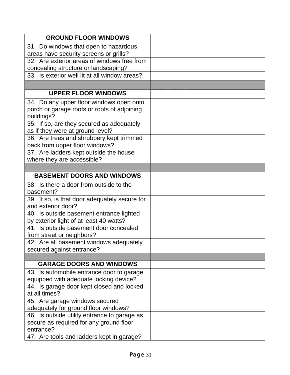| <b>GROUND FLOOR WINDOWS</b>                   |  |
|-----------------------------------------------|--|
| 31. Do windows that open to hazardous         |  |
| areas have security screens or grills?        |  |
| 32. Are exterior areas of windows free from   |  |
| concealing structure or landscaping?          |  |
| 33. Is exterior well lit at all window areas? |  |
|                                               |  |
| <b>UPPER FLOOR WINDOWS</b>                    |  |
| 34. Do any upper floor windows open onto      |  |
| porch or garage roofs or roofs of adjoining   |  |
| buildings?                                    |  |
| 35. If so, are they secured as adequately     |  |
| as if they were at ground level?              |  |
| 36. Are trees and shrubbery kept trimmed      |  |
| back from upper floor windows?                |  |
| 37. Are ladders kept outside the house        |  |
| where they are accessible?                    |  |
|                                               |  |
| <b>BASEMENT DOORS AND WINDOWS</b>             |  |
| 38. Is there a door from outside to the       |  |
| basement?                                     |  |
| 39. If so, is that door adequately secure for |  |
| and exterior door?                            |  |
| 40. Is outside basement entrance lighted      |  |
| by exterior light of at least 40 watts?       |  |
| 41. Is outside basement door concealed        |  |
| from street or neighbors?                     |  |
| 42. Are all basement windows adequately       |  |
| secured against entrance?                     |  |
| <b>GARAGE DOORS AND WINDOWS</b>               |  |
| 43. Is automobile entrance door to garage     |  |
| equipped with adequate locking device?        |  |
| 44. Is garage door kept closed and locked     |  |
| at all times?                                 |  |
| 45. Are garage windows secured                |  |
| adequately for ground floor windows?          |  |
| 46. Is outside utility entrance to garage as  |  |
| secure as required for any ground floor       |  |
| entrance?                                     |  |
| 47. Are tools and ladders kept in garage?     |  |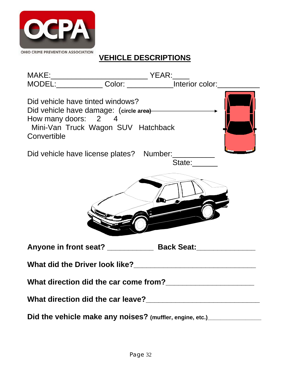

### **VEHICLE DESCRIPTIONS**

| Did vehicle have tinted windows?<br>How many doors: 2 4<br>Mini-Van Truck Wagon SUV Hatchback<br>Convertible |                                                                                  |  |
|--------------------------------------------------------------------------------------------------------------|----------------------------------------------------------------------------------|--|
| Did vehicle have license plates? Number:                                                                     | State:                                                                           |  |
|                                                                                                              |                                                                                  |  |
|                                                                                                              | Anyone in front seat? ________________ Back Seat: ______________________________ |  |
| What did the Driver look like?                                                                               |                                                                                  |  |
|                                                                                                              | What direction did the car come from?<br><u> </u>                                |  |
|                                                                                                              |                                                                                  |  |
|                                                                                                              | Did the vehicle make any noises? (muffler, engine, etc.)__________________       |  |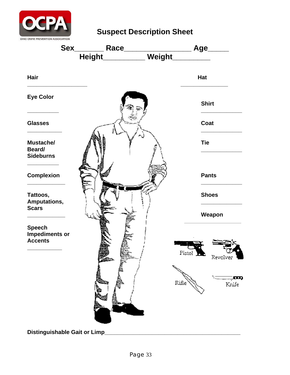

**Suspect Description Sheet** 



**Distinguishable Gait or Limp\_\_\_\_\_\_\_\_\_\_\_\_\_\_\_\_\_\_\_\_\_\_\_\_\_\_\_\_\_\_\_\_\_\_\_\_\_\_\_\_\_\_\_**